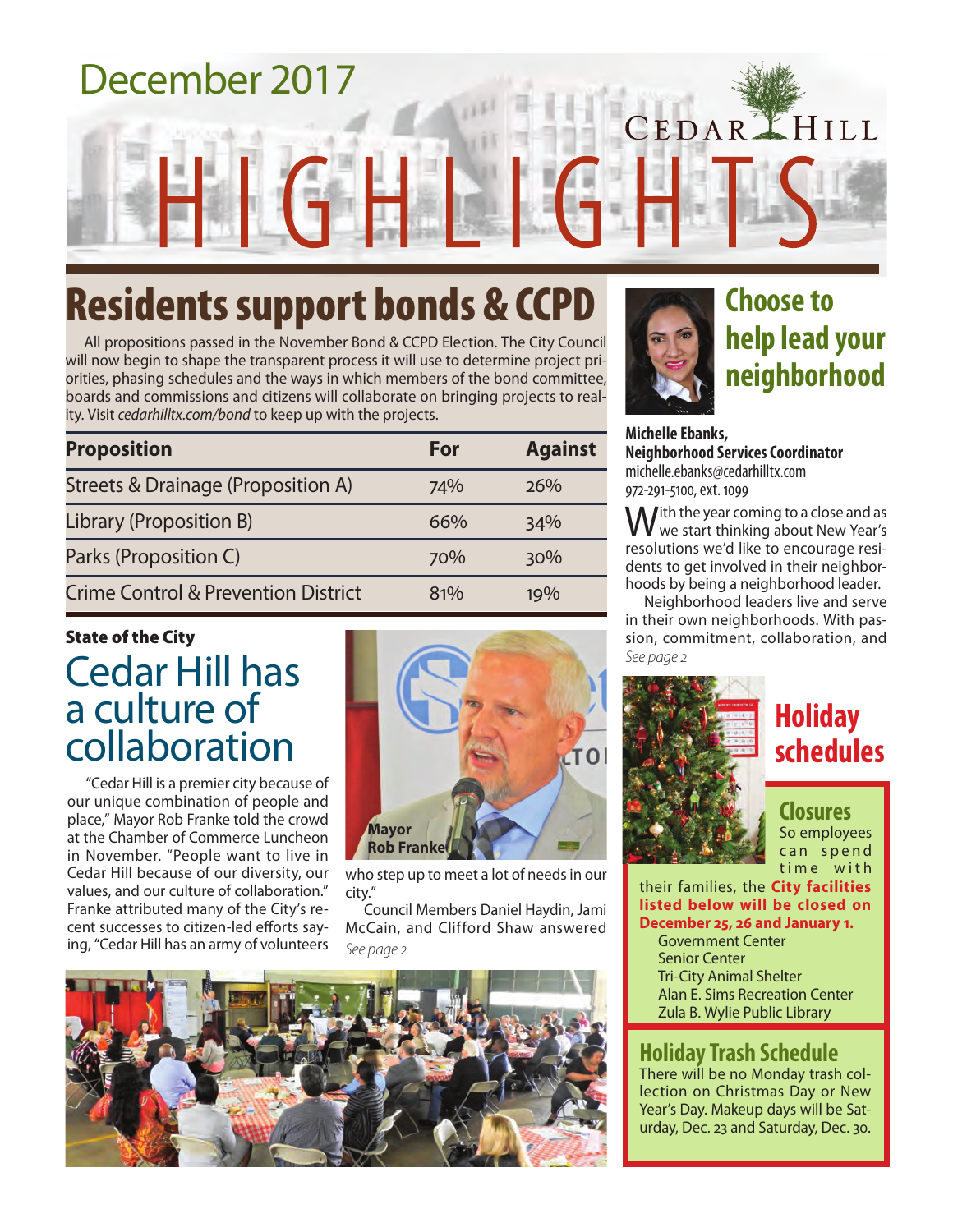# December 2017 CEDARLHILL

## Residents support bonds & CCPD

All propositions passed in the November Bond & CCPD Election. The City Council will now begin to shape the transparent process it will use to determine project priorities, phasing schedules and the ways in which members of the bond committee, boards and commissions and citizens will collaborate on bringing projects to reality. Visit *cedarhilltx.com/bond* to keep up with the projects.

| <b>Proposition</b>                             | For | <b>Against</b> |
|------------------------------------------------|-----|----------------|
| Streets & Drainage (Proposition A)             | 74% | 26%            |
| Library (Proposition B)                        | 66% | 34%            |
| Parks (Proposition C)                          | 70% | 30%            |
| <b>Crime Control &amp; Prevention District</b> | 81% | 19%            |

### Cedar Hill has a culture of collaboration State of the City

"Cedar Hill is a premier city because of our unique combination of people and place," Mayor Rob Franke told the crowd at the Chamber of Commerce Luncheon in November. "People want to live in Cedar Hill because of our diversity, our values, and our culture of collaboration." Franke attributed many of the City's recent successes to citizen-led efforts saying, "Cedar Hill has an army of volunteers



who step up to meet a lot of needs in our city."

*See page 2* Council Members Daniel Haydin, Jami McCain, and Clifford Shaw answered





### **Choose to help lead your neighborhood**

**Michelle Ebanks, Neighborhood Services Coordinator** michelle.ebanks@cedarhilltx.com 972-291-5100, ext. 1099

With the year coming to a close and as<br>Wwe start thinking about New Year's resolutions we'd like to encourage residents to get involved in their neighborhoods by being a neighborhood leader.

Neighborhood leaders live and serve in their own neighborhoods. With passion, commitment, collaboration, and *See page 2*



### **Holiday schedules**

#### **Closures** So employees can spend time with

their families, the **City facilities listed below will be closed on December 25, 26 and January 1.** Government Center Senior Center

Tri-City Animal Shelter Alan E. Sims Recreation Center Zula B. Wylie Public Library

### **Holiday Trash Schedule**

There will be no Monday trash collection on Christmas Day or New Year's Day. Makeup days will be Saturday, Dec. 23 and Saturday, Dec. 30.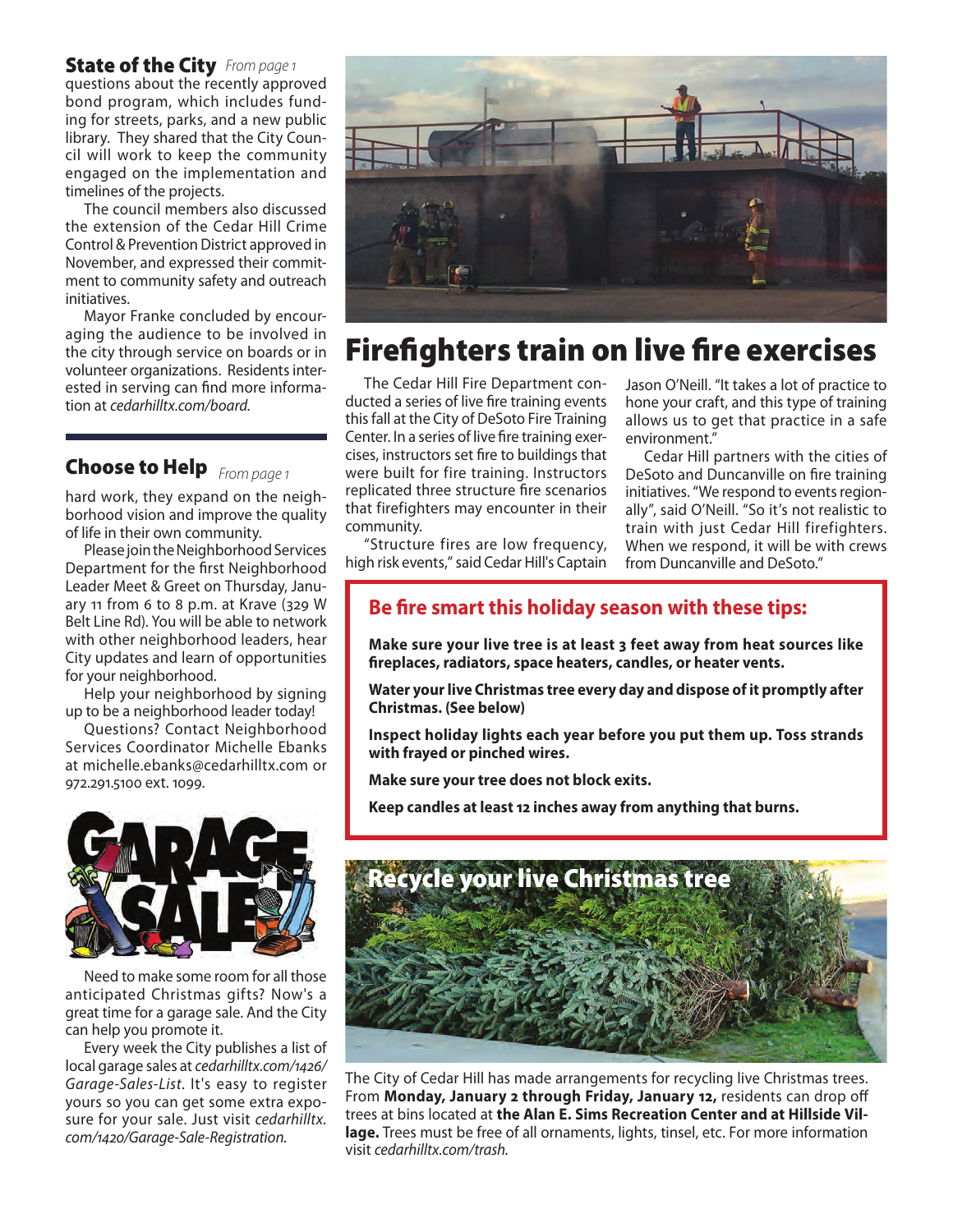#### **State of the City** From page 1

questions about the recently approved bond program, which includes funding for streets, parks, and a new public library. They shared that the City Council will work to keep the community engaged on the implementation and timelines of the projects.

The council members also discussed the extension of the Cedar Hill Crime Control & Prevention District approved in November, and expressed their commitment to community safety and outreach initiatives.

Mayor Franke concluded by encouraging the audience to be involved in the city through service on boards or in volunteer organizations. Residents interested in serving can find more information at *cedarhilltx.com/board.*

#### *From page 1* Choose to Help

hard work, they expand on the neighborhood vision and improve the quality of life in their own community.

Please join the Neighborhood Services Department for the first Neighborhood Leader Meet & Greet on Thursday, January 11 from 6 to 8 p.m. at Krave (329 W Belt Line Rd). You will be able to network with other neighborhood leaders, hear City updates and learn of opportunities for your neighborhood.

Help your neighborhood by signing up to be a neighborhood leader today!

Questions? Contact Neighborhood Services Coordinator Michelle Ebanks at michelle.ebanks@cedarhilltx.com or 972.291.5100 ext. 1099.



Need to make some room for all those anticipated Christmas gifts? Now's a great time for a garage sale. And the City can help you promote it.

Every week the City publishes a list of local garage sales at *cedarhilltx.com/1426/ Garage-Sales-List*. It's easy to register yours so you can get some extra exposure for your sale. Just visit *cedarhilltx. com/1420/Garage-Sale-Registration.*



### Firefighters train on live fire exercises

The Cedar Hill Fire Department conducted a series of live fire training events this fall at the City of DeSoto Fire Training Center. In a series of live fire training exercises, instructors set fire to buildings that were built for fire training. Instructors replicated three structure fire scenarios that firefighters may encounter in their community.

"Structure fires are low frequency, high risk events," said Cedar Hill's Captain Jason O'Neill. "It takes a lot of practice to hone your craft, and this type of training allows us to get that practice in a safe environment."

Cedar Hill partners with the cities of DeSoto and Duncanville on fire training initiatives. "We respond to events regionally", said O'Neill. "So it's not realistic to train with just Cedar Hill firefighters. When we respond, it will be with crews from Duncanville and DeSoto."

#### **Be fire smart this holiday season with these tips:**

**Make sure your live tree is at least 3 feet away from heat sources like fireplaces, radiators, space heaters, candles, or heater vents.**

**Water your live Christmas tree every day and dispose of it promptly after Christmas. (See below)**

**Inspect holiday lights each year before you put them up. Toss strands with frayed or pinched wires.**

**Make sure your tree does not block exits.**

**Keep candles at least 12 inches away from anything that burns.**



The City of Cedar Hill has made arrangements for recycling live Christmas trees. From **Monday, January 2 through Friday, January 12,** residents can drop off trees at bins located at **the Alan E. Sims Recreation Center and at Hillside Village.** Trees must be free of all ornaments, lights, tinsel, etc. For more information visit *cedarhilltx.com/trash.*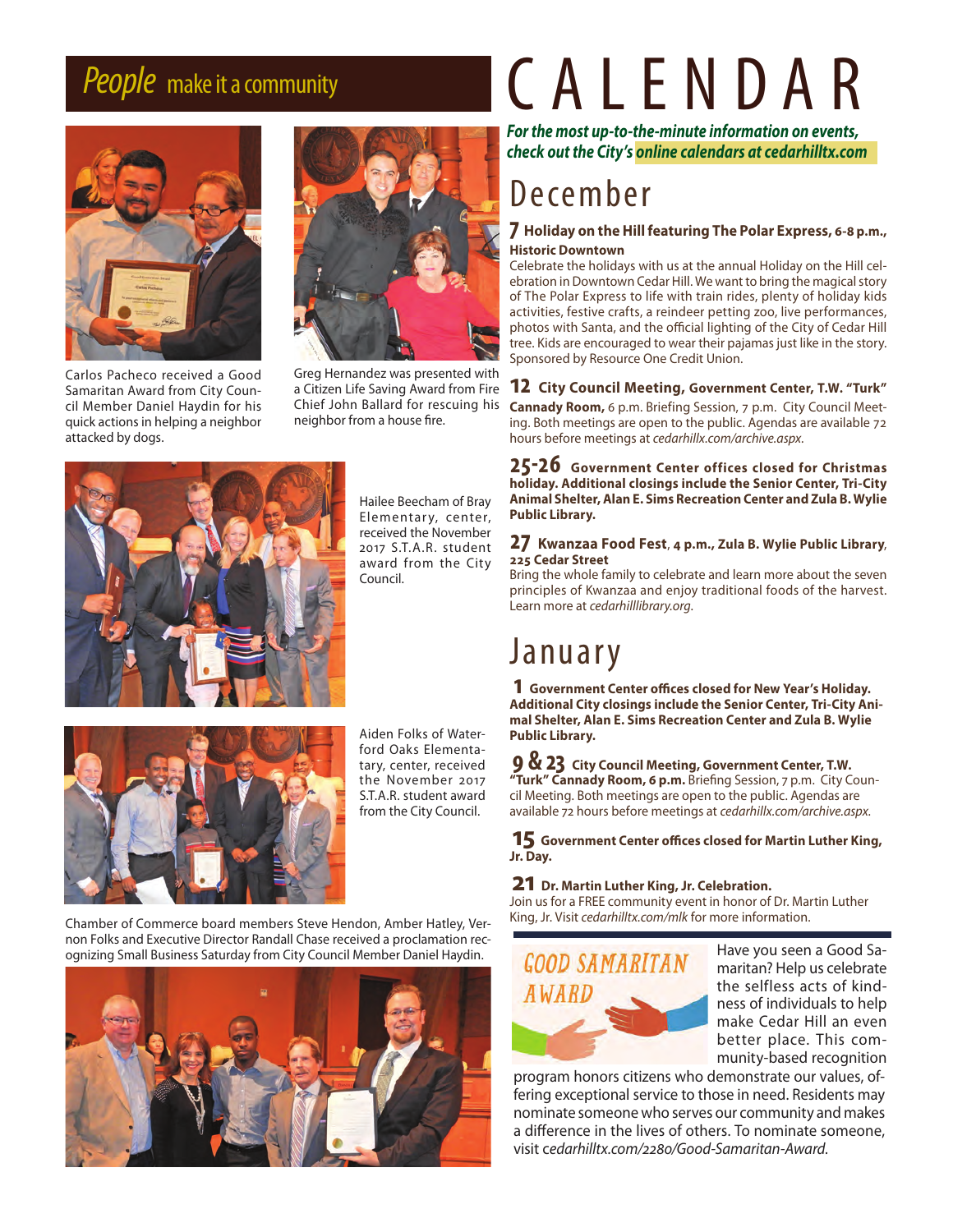

Carlos Pacheco received a Good Samaritan Award from City Council Member Daniel Haydin for his quick actions in helping a neighbor attacked by dogs.



Greg Hernandez was presented with a Citizen Life Saving Award from Fire Chief John Ballard for rescuing his neighbor from a house fire.



Hailee Beecham of Bray Elementary, center, received the November 2017 S.T.A.R. student award from the City Council.



Aiden Folks of Waterford Oaks Elementatary, center, received the November 2017 S.T.A.R. student award from the City Council.

*People* make it a community CALENDAR

*For the most up-to-the-minute information on events, check out the City's online calendars at cedarhilltx.com*

### December

#### **7 Holiday on the Hill featuring The Polar Express, 6-8 p.m., Historic Downtown**

Celebrate the holidays with us at the annual Holiday on the Hill celebration in Downtown Cedar Hill. We want to bring the magical story of The Polar Express to life with train rides, plenty of holiday kids activities, festive crafts, a reindeer petting zoo, live performances, photos with Santa, and the official lighting of the City of Cedar Hill tree. Kids are encouraged to wear their pajamas just like in the story. Sponsored by Resource One Credit Union.

**12 City Council Meeting, Government Center, T.W. "Turk" Cannady Room,** 6 p.m. Briefing Session, 7 p.m. City Council Meeting. Both meetings are open to the public. Agendas are available 72 hours before meetings at *cedarhillx.com/archive.aspx.*

**25-26 Government Center offices closed for Christmas holiday. Additional closings include the Senior Center, Tri-City Animal Shelter, Alan E. Sims Recreation Center and Zula B. Wylie Public Library.**

#### **27 Kwanzaa Food Fest**, **4 p.m., Zula B. Wylie Public Library**, **225 Cedar Street**

Bring the whole family to celebrate and learn more about the seven principles of Kwanzaa and enjoy traditional foods of the harvest. Learn more at *cedarhilllibrary.org*.

### January

**1 Government Center offices closed for New Year's Holiday. Additional City closings include the Senior Center, Tri-City Animal Shelter, Alan E. Sims Recreation Center and Zula B. Wylie Public Library.**

**9 & 23 City Council Meeting, Government Center, T.W. "Turk" Cannady Room, 6 p.m.** Briefing Session, 7 p.m. City Council Meeting. Both meetings are open to the public. Agendas are available 72 hours before meetings at *cedarhillx.com/archive.aspx.*

**15 Government Center offices closed for Martin Luther King, Jr. Day.**

#### **21 Dr. Martin Luther King, Jr. Celebration.**

Join us for a FREE community event in honor of Dr. Martin Luther King, Jr. Visit *cedarhilltx.com/mlk* for more information.



Have you seen a Good Samaritan? Help us celebrate the selfless acts of kindness of individuals to help make Cedar Hill an even better place. This community-based recognition

program honors citizens who demonstrate our values, offering exceptional service to those in need. Residents may nominate someone who serves our community and makes a difference in the lives of others. To nominate someone, visit c*edarhilltx.com/2280/Good-Samaritan-Award.*

Chamber of Commerce board members Steve Hendon, Amber Hatley, Vernon Folks and Executive Director Randall Chase received a proclamation recognizing Small Business Saturday from City Council Member Daniel Haydin.